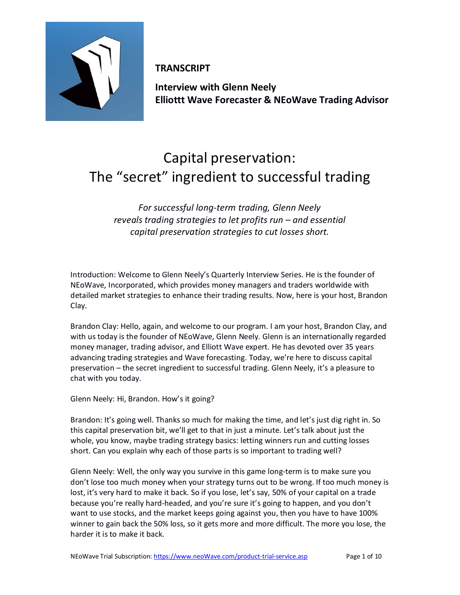

**TRANSCRIPT**

**Interview with Glenn Neely Elliottt Wave Forecaster & NEoWave Trading Advisor**

## Capital preservation: The "secret" ingredient to successful trading

*For successful long-term trading, Glenn Neely reveals trading strategies to let profits run – and essential capital preservation strategies to cut losses short.* 

Introduction: Welcome to Glenn Neely's Quarterly Interview Series. He is the founder of NEoWave, Incorporated, which provides money managers and traders worldwide with detailed market strategies to enhance their trading results. Now, here is your host, Brandon Clay.

Brandon Clay: Hello, again, and welcome to our program. I am your host, Brandon Clay, and with us today is the founder of NEoWave, Glenn Neely. Glenn is an internationally regarded money manager, trading advisor, and Elliott Wave expert. He has devoted over 35 years advancing trading strategies and Wave forecasting. Today, we're here to discuss capital preservation – the secret ingredient to successful trading. Glenn Neely, it's a pleasure to chat with you today.

Glenn Neely: Hi, Brandon. How's it going?

Brandon: It's going well. Thanks so much for making the time, and let's just dig right in. So this capital preservation bit, we'll get to that in just a minute. Let's talk about just the whole, you know, maybe trading strategy basics: letting winners run and cutting losses short. Can you explain why each of those parts is so important to trading well?

Glenn Neely: Well, the only way you survive in this game long-term is to make sure you don't lose too much money when your strategy turns out to be wrong. If too much money is lost, it's very hard to make it back. So if you lose, let's say, 50% of your capital on a trade because you're really hard-headed, and you're sure it's going to happen, and you don't want to use stocks, and the market keeps going against you, then you have to have 100% winner to gain back the 50% loss, so it gets more and more difficult. The more you lose, the harder it is to make it back.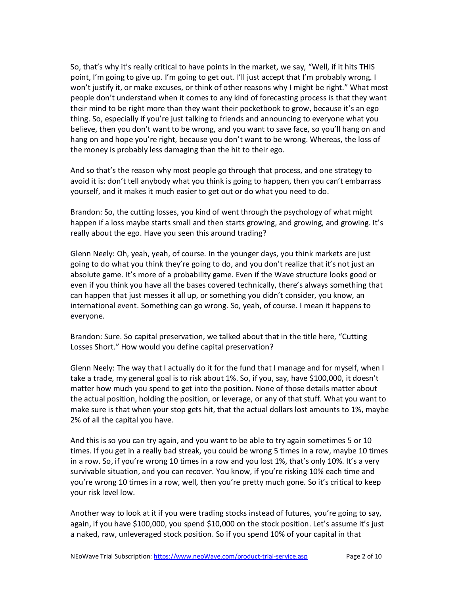So, that's why it's really critical to have points in the market, we say, "Well, if it hits THIS point, I'm going to give up. I'm going to get out. I'll just accept that I'm probably wrong. I won't justify it, or make excuses, or think of other reasons why I might be right." What most people don't understand when it comes to any kind of forecasting process is that they want their mind to be right more than they want their pocketbook to grow, because it's an ego thing. So, especially if you're just talking to friends and announcing to everyone what you believe, then you don't want to be wrong, and you want to save face, so you'll hang on and hang on and hope you're right, because you don't want to be wrong. Whereas, the loss of the money is probably less damaging than the hit to their ego.

And so that's the reason why most people go through that process, and one strategy to avoid it is: don't tell anybody what you think is going to happen, then you can't embarrass yourself, and it makes it much easier to get out or do what you need to do.

Brandon: So, the cutting losses, you kind of went through the psychology of what might happen if a loss maybe starts small and then starts growing, and growing, and growing. It's really about the ego. Have you seen this around trading?

Glenn Neely: Oh, yeah, yeah, of course. In the younger days, you think markets are just going to do what you think they're going to do, and you don't realize that it's not just an absolute game. It's more of a probability game. Even if the Wave structure looks good or even if you think you have all the bases covered technically, there's always something that can happen that just messes it all up, or something you didn't consider, you know, an international event. Something can go wrong. So, yeah, of course. I mean it happens to everyone.

Brandon: Sure. So capital preservation, we talked about that in the title here, "Cutting Losses Short." How would you define capital preservation?

Glenn Neely: The way that I actually do it for the fund that I manage and for myself, when I take a trade, my general goal is to risk about 1%. So, if you, say, have \$100,000, it doesn't matter how much you spend to get into the position. None of those details matter about the actual position, holding the position, or leverage, or any of that stuff. What you want to make sure is that when your stop gets hit, that the actual dollars lost amounts to 1%, maybe 2% of all the capital you have.

And this is so you can try again, and you want to be able to try again sometimes 5 or 10 times. If you get in a really bad streak, you could be wrong 5 times in a row, maybe 10 times in a row. So, if you're wrong 10 times in a row and you lost 1%, that's only 10%. It's a very survivable situation, and you can recover. You know, if you're risking 10% each time and you're wrong 10 times in a row, well, then you're pretty much gone. So it's critical to keep your risk level low.

Another way to look at it if you were trading stocks instead of futures, you're going to say, again, if you have \$100,000, you spend \$10,000 on the stock position. Let's assume it's just a naked, raw, unleveraged stock position. So if you spend 10% of your capital in that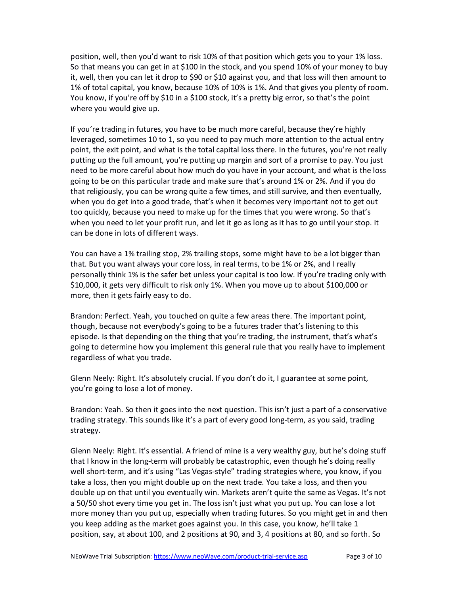position, well, then you'd want to risk 10% of that position which gets you to your 1% loss. So that means you can get in at \$100 in the stock, and you spend 10% of your money to buy it, well, then you can let it drop to \$90 or \$10 against you, and that loss will then amount to 1% of total capital, you know, because 10% of 10% is 1%. And that gives you plenty of room. You know, if you're off by \$10 in a \$100 stock, it's a pretty big error, so that's the point where you would give up.

If you're trading in futures, you have to be much more careful, because they're highly leveraged, sometimes 10 to 1, so you need to pay much more attention to the actual entry point, the exit point, and what is the total capital loss there. In the futures, you're not really putting up the full amount, you're putting up margin and sort of a promise to pay. You just need to be more careful about how much do you have in your account, and what is the loss going to be on this particular trade and make sure that's around 1% or 2%. And if you do that religiously, you can be wrong quite a few times, and still survive, and then eventually, when you do get into a good trade, that's when it becomes very important not to get out too quickly, because you need to make up for the times that you were wrong. So that's when you need to let your profit run, and let it go as long as it has to go until your stop. It can be done in lots of different ways.

You can have a 1% trailing stop, 2% trailing stops, some might have to be a lot bigger than that. But you want always your core loss, in real terms, to be 1% or 2%, and I really personally think 1% is the safer bet unless your capital is too low. If you're trading only with \$10,000, it gets very difficult to risk only 1%. When you move up to about \$100,000 or more, then it gets fairly easy to do.

Brandon: Perfect. Yeah, you touched on quite a few areas there. The important point, though, because not everybody's going to be a futures trader that's listening to this episode. Is that depending on the thing that you're trading, the instrument, that's what's going to determine how you implement this general rule that you really have to implement regardless of what you trade.

Glenn Neely: Right. It's absolutely crucial. If you don't do it, I guarantee at some point, you're going to lose a lot of money.

Brandon: Yeah. So then it goes into the next question. This isn't just a part of a conservative trading strategy. This sounds like it's a part of every good long-term, as you said, trading strategy.

Glenn Neely: Right. It's essential. A friend of mine is a very wealthy guy, but he's doing stuff that I know in the long-term will probably be catastrophic, even though he's doing really well short-term, and it's using "Las Vegas-style" trading strategies where, you know, if you take a loss, then you might double up on the next trade. You take a loss, and then you double up on that until you eventually win. Markets aren't quite the same as Vegas. It's not a 50/50 shot every time you get in. The loss isn't just what you put up. You can lose a lot more money than you put up, especially when trading futures. So you might get in and then you keep adding as the market goes against you. In this case, you know, he'll take 1 position, say, at about 100, and 2 positions at 90, and 3, 4 positions at 80, and so forth. So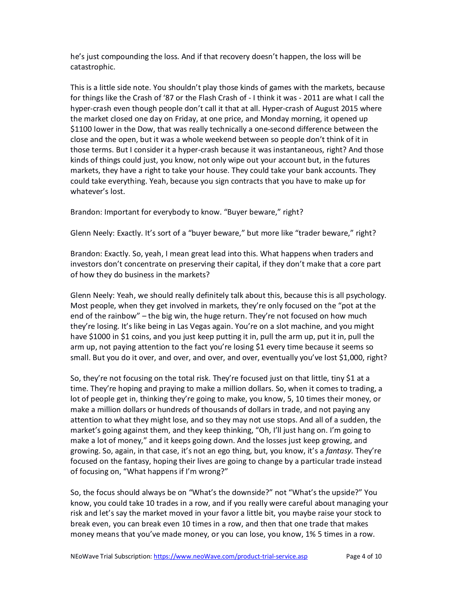he's just compounding the loss. And if that recovery doesn't happen, the loss will be catastrophic.

This is a little side note. You shouldn't play those kinds of games with the markets, because for things like the Crash of '87 or the Flash Crash of - I think it was - 2011 are what I call the hyper-crash even though people don't call it that at all. Hyper-crash of August 2015 where the market closed one day on Friday, at one price, and Monday morning, it opened up \$1100 lower in the Dow, that was really technically a one-second difference between the close and the open, but it was a whole weekend between so people don't think of it in those terms. But I consider it a hyper-crash because it was instantaneous, right? And those kinds of things could just, you know, not only wipe out your account but, in the futures markets, they have a right to take your house. They could take your bank accounts. They could take everything. Yeah, because you sign contracts that you have to make up for whatever's lost.

Brandon: Important for everybody to know. "Buyer beware," right?

Glenn Neely: Exactly. It's sort of a "buyer beware," but more like "trader beware," right?

Brandon: Exactly. So, yeah, I mean great lead into this. What happens when traders and investors don't concentrate on preserving their capital, if they don't make that a core part of how they do business in the markets?

Glenn Neely: Yeah, we should really definitely talk about this, because this is all psychology. Most people, when they get involved in markets, they're only focused on the "pot at the end of the rainbow" – the big win, the huge return. They're not focused on how much they're losing. It's like being in Las Vegas again. You're on a slot machine, and you might have \$1000 in \$1 coins, and you just keep putting it in, pull the arm up, put it in, pull the arm up, not paying attention to the fact you're losing \$1 every time because it seems so small. But you do it over, and over, and over, and over, eventually you've lost \$1,000, right?

So, they're not focusing on the total risk. They're focused just on that little, tiny \$1 at a time. They're hoping and praying to make a million dollars. So, when it comes to trading, a lot of people get in, thinking they're going to make, you know, 5, 10 times their money, or make a million dollars or hundreds of thousands of dollars in trade, and not paying any attention to what they might lose, and so they may not use stops. And all of a sudden, the market's going against them, and they keep thinking, "Oh, I'll just hang on. I'm going to make a lot of money," and it keeps going down. And the losses just keep growing, and growing. So, again, in that case, it's not an ego thing, but, you know, it's a *fantasy*. They're focused on the fantasy, hoping their lives are going to change by a particular trade instead of focusing on, "What happens if I'm wrong?"

So, the focus should always be on "What's the downside?" not "What's the upside?" You know, you could take 10 trades in a row, and if you really were careful about managing your risk and let's say the market moved in your favor a little bit, you maybe raise your stock to break even, you can break even 10 times in a row, and then that one trade that makes money means that you've made money, or you can lose, you know, 1% 5 times in a row.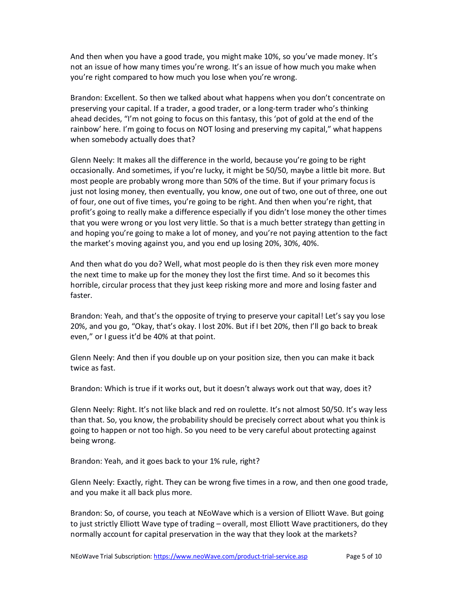And then when you have a good trade, you might make 10%, so you've made money. It's not an issue of how many times you're wrong. It's an issue of how much you make when you're right compared to how much you lose when you're wrong.

Brandon: Excellent. So then we talked about what happens when you don't concentrate on preserving your capital. If a trader, a good trader, or a long-term trader who's thinking ahead decides, "I'm not going to focus on this fantasy, this 'pot of gold at the end of the rainbow' here. I'm going to focus on NOT losing and preserving my capital," what happens when somebody actually does that?

Glenn Neely: It makes all the difference in the world, because you're going to be right occasionally. And sometimes, if you're lucky, it might be 50/50, maybe a little bit more. But most people are probably wrong more than 50% of the time. But if your primary focus is just not losing money, then eventually, you know, one out of two, one out of three, one out of four, one out of five times, you're going to be right. And then when you're right, that profit's going to really make a difference especially if you didn't lose money the other times that you were wrong or you lost very little. So that is a much better strategy than getting in and hoping you're going to make a lot of money, and you're not paying attention to the fact the market's moving against you, and you end up losing 20%, 30%, 40%.

And then what do you do? Well, what most people do is then they risk even more money the next time to make up for the money they lost the first time. And so it becomes this horrible, circular process that they just keep risking more and more and losing faster and faster.

Brandon: Yeah, and that's the opposite of trying to preserve your capital! Let's say you lose 20%, and you go, "Okay, that's okay. I lost 20%. But if I bet 20%, then I'll go back to break even," or I guess it'd be 40% at that point.

Glenn Neely: And then if you double up on your position size, then you can make it back twice as fast.

Brandon: Which is true if it works out, but it doesn't always work out that way, does it?

Glenn Neely: Right. It's not like black and red on roulette. It's not almost 50/50. It's way less than that. So, you know, the probability should be precisely correct about what you think is going to happen or not too high. So you need to be very careful about protecting against being wrong.

Brandon: Yeah, and it goes back to your 1% rule, right?

Glenn Neely: Exactly, right. They can be wrong five times in a row, and then one good trade, and you make it all back plus more.

Brandon: So, of course, you teach at NEoWave which is a version of Elliott Wave. But going to just strictly Elliott Wave type of trading – overall, most Elliott Wave practitioners, do they normally account for capital preservation in the way that they look at the markets?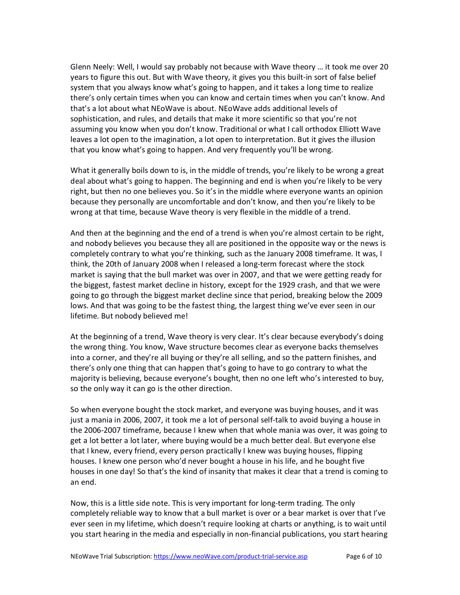Glenn Neely: Well, I would say probably not because with Wave theory … it took me over 20 years to figure this out. But with Wave theory, it gives you this built-in sort of false belief system that you always know what's going to happen, and it takes a long time to realize there's only certain times when you can know and certain times when you can't know. And that's a lot about what NEoWave is about. NEoWave adds additional levels of sophistication, and rules, and details that make it more scientific so that you're not assuming you know when you don't know. Traditional or what I call orthodox Elliott Wave leaves a lot open to the imagination, a lot open to interpretation. But it gives the illusion that you know what's going to happen. And very frequently you'll be wrong.

What it generally boils down to is, in the middle of trends, you're likely to be wrong a great deal about what's going to happen. The beginning and end is when you're likely to be very right, but then no one believes you. So it's in the middle where everyone wants an opinion because they personally are uncomfortable and don't know, and then you're likely to be wrong at that time, because Wave theory is very flexible in the middle of a trend.

And then at the beginning and the end of a trend is when you're almost certain to be right, and nobody believes you because they all are positioned in the opposite way or the news is completely contrary to what you're thinking, such as the January 2008 timeframe. It was, I think, the 20th of January 2008 when I released a long-term forecast where the stock market is saying that the bull market was over in 2007, and that we were getting ready for the biggest, fastest market decline in history, except for the 1929 crash, and that we were going to go through the biggest market decline since that period, breaking below the 2009 lows. And that was going to be the fastest thing, the largest thing we've ever seen in our lifetime. But nobody believed me!

At the beginning of a trend, Wave theory is very clear. It's clear because everybody's doing the wrong thing. You know, Wave structure becomes clear as everyone backs themselves into a corner, and they're all buying or they're all selling, and so the pattern finishes, and there's only one thing that can happen that's going to have to go contrary to what the majority is believing, because everyone's bought, then no one left who's interested to buy, so the only way it can go is the other direction.

So when everyone bought the stock market, and everyone was buying houses, and it was just a mania in 2006, 2007, it took me a lot of personal self-talk to avoid buying a house in the 2006-2007 timeframe, because I knew when that whole mania was over, it was going to get a lot better a lot later, where buying would be a much better deal. But everyone else that I knew, every friend, every person practically I knew was buying houses, flipping houses. I knew one person who'd never bought a house in his life, and he bought five houses in one day! So that's the kind of insanity that makes it clear that a trend is coming to an end.

Now, this is a little side note. This is very important for long-term trading. The only completely reliable way to know that a bull market is over or a bear market is over that I've ever seen in my lifetime, which doesn't require looking at charts or anything, is to wait until you start hearing in the media and especially in non-financial publications, you start hearing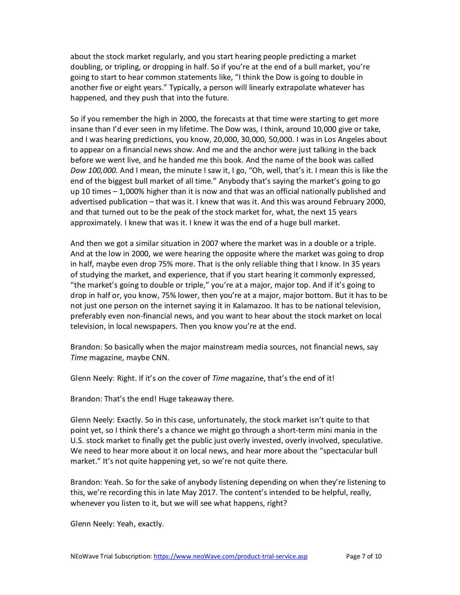about the stock market regularly, and you start hearing people predicting a market doubling, or tripling, or dropping in half. So if you're at the end of a bull market, you're going to start to hear common statements like, "I think the Dow is going to double in another five or eight years." Typically, a person will linearly extrapolate whatever has happened, and they push that into the future.

So if you remember the high in 2000, the forecasts at that time were starting to get more insane than I'd ever seen in my lifetime. The Dow was, I think, around 10,000 give or take, and I was hearing predictions, you know, 20,000, 30,000, 50,000. I was in Los Angeles about to appear on a financial news show. And me and the anchor were just talking in the back before we went live, and he handed me this book. And the name of the book was called *Dow 100,000.* And I mean, the minute I saw it, I go, "Oh, well, that's it. I mean this is like the end of the biggest bull market of all time." Anybody that's saying the market's going to go up 10 times – 1,000% higher than it is now and that was an official nationally published and advertised publication – that was it. I knew that was it. And this was around February 2000, and that turned out to be the peak of the stock market for, what, the next 15 years approximately. I knew that was it. I knew it was the end of a huge bull market.

And then we got a similar situation in 2007 where the market was in a double or a triple. And at the low in 2000, we were hearing the opposite where the market was going to drop in half, maybe even drop 75% more. That is the only reliable thing that I know. In 35 years of studying the market, and experience, that if you start hearing it commonly expressed, "the market's going to double or triple," you're at a major, major top. And if it's going to drop in half or, you know, 75% lower, then you're at a major, major bottom. But it has to be not just one person on the internet saying it in Kalamazoo. It has to be national television, preferably even non-financial news, and you want to hear about the stock market on local television, in local newspapers. Then you know you're at the end.

Brandon: So basically when the major mainstream media sources, not financial news, say *Time* magazine, maybe CNN.

Glenn Neely: Right. If it's on the cover of *Time* magazine, that's the end of it!

Brandon: That's the end! Huge takeaway there.

Glenn Neely: Exactly. So in this case, unfortunately, the stock market isn't quite to that point yet, so I think there's a chance we might go through a short-term mini mania in the U.S. stock market to finally get the public just overly invested, overly involved, speculative. We need to hear more about it on local news, and hear more about the "spectacular bull market." It's not quite happening yet, so we're not quite there.

Brandon: Yeah. So for the sake of anybody listening depending on when they're listening to this, we're recording this in late May 2017. The content's intended to be helpful, really, whenever you listen to it, but we will see what happens, right?

Glenn Neely: Yeah, exactly.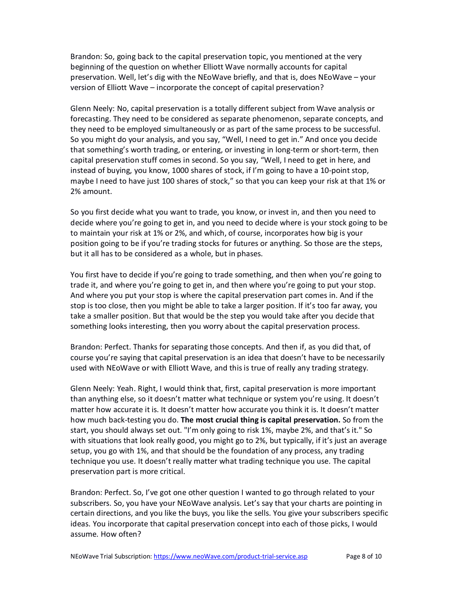Brandon: So, going back to the capital preservation topic, you mentioned at the very beginning of the question on whether Elliott Wave normally accounts for capital preservation. Well, let's dig with the NEoWave briefly, and that is, does NEoWave – your version of Elliott Wave – incorporate the concept of capital preservation?

Glenn Neely: No, capital preservation is a totally different subject from Wave analysis or forecasting. They need to be considered as separate phenomenon, separate concepts, and they need to be employed simultaneously or as part of the same process to be successful. So you might do your analysis, and you say, "Well, I need to get in." And once you decide that something's worth trading, or entering, or investing in long-term or short-term, then capital preservation stuff comes in second. So you say, "Well, I need to get in here, and instead of buying, you know, 1000 shares of stock, if I'm going to have a 10-point stop, maybe I need to have just 100 shares of stock," so that you can keep your risk at that 1% or 2% amount.

So you first decide what you want to trade, you know, or invest in, and then you need to decide where you're going to get in, and you need to decide where is your stock going to be to maintain your risk at 1% or 2%, and which, of course, incorporates how big is your position going to be if you're trading stocks for futures or anything. So those are the steps, but it all has to be considered as a whole, but in phases.

You first have to decide if you're going to trade something, and then when you're going to trade it, and where you're going to get in, and then where you're going to put your stop. And where you put your stop is where the capital preservation part comes in. And if the stop is too close, then you might be able to take a larger position. If it's too far away, you take a smaller position. But that would be the step you would take after you decide that something looks interesting, then you worry about the capital preservation process.

Brandon: Perfect. Thanks for separating those concepts. And then if, as you did that, of course you're saying that capital preservation is an idea that doesn't have to be necessarily used with NEoWave or with Elliott Wave, and this is true of really any trading strategy.

Glenn Neely: Yeah. Right, I would think that, first, capital preservation is more important than anything else, so it doesn't matter what technique or system you're using. It doesn't matter how accurate it is. It doesn't matter how accurate you think it is. It doesn't matter how much back-testing you do. **The most crucial thing is capital preservation.** So from the start, you should always set out. "I'm only going to risk 1%, maybe 2%, and that's it." So with situations that look really good, you might go to 2%, but typically, if it's just an average setup, you go with 1%, and that should be the foundation of any process, any trading technique you use. It doesn't really matter what trading technique you use. The capital preservation part is more critical.

Brandon: Perfect. So, I've got one other question I wanted to go through related to your subscribers. So, you have your NEoWave analysis. Let's say that your charts are pointing in certain directions, and you like the buys, you like the sells. You give your subscribers specific ideas. You incorporate that capital preservation concept into each of those picks, I would assume. How often?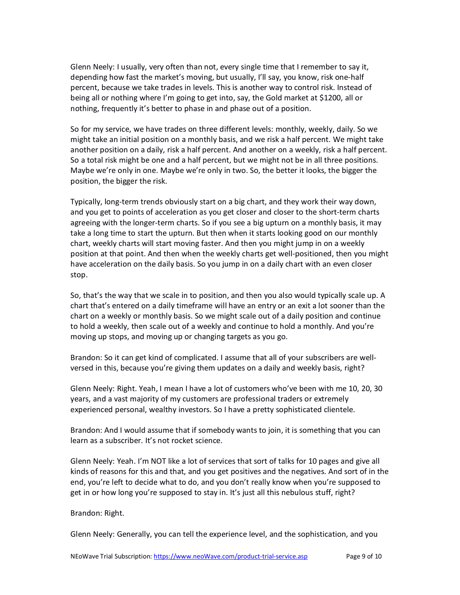Glenn Neely: I usually, very often than not, every single time that I remember to say it, depending how fast the market's moving, but usually, I'll say, you know, risk one-half percent, because we take trades in levels. This is another way to control risk. Instead of being all or nothing where I'm going to get into, say, the Gold market at \$1200, all or nothing, frequently it's better to phase in and phase out of a position.

So for my service, we have trades on three different levels: monthly, weekly, daily. So we might take an initial position on a monthly basis, and we risk a half percent. We might take another position on a daily, risk a half percent. And another on a weekly, risk a half percent. So a total risk might be one and a half percent, but we might not be in all three positions. Maybe we're only in one. Maybe we're only in two. So, the better it looks, the bigger the position, the bigger the risk.

Typically, long-term trends obviously start on a big chart, and they work their way down, and you get to points of acceleration as you get closer and closer to the short-term charts agreeing with the longer-term charts. So if you see a big upturn on a monthly basis, it may take a long time to start the upturn. But then when it starts looking good on our monthly chart, weekly charts will start moving faster. And then you might jump in on a weekly position at that point. And then when the weekly charts get well-positioned, then you might have acceleration on the daily basis. So you jump in on a daily chart with an even closer stop.

So, that's the way that we scale in to position, and then you also would typically scale up. A chart that's entered on a daily timeframe will have an entry or an exit a lot sooner than the chart on a weekly or monthly basis. So we might scale out of a daily position and continue to hold a weekly, then scale out of a weekly and continue to hold a monthly. And you're moving up stops, and moving up or changing targets as you go.

Brandon: So it can get kind of complicated. I assume that all of your subscribers are wellversed in this, because you're giving them updates on a daily and weekly basis, right?

Glenn Neely: Right. Yeah, I mean I have a lot of customers who've been with me 10, 20, 30 years, and a vast majority of my customers are professional traders or extremely experienced personal, wealthy investors. So I have a pretty sophisticated clientele.

Brandon: And I would assume that if somebody wants to join, it is something that you can learn as a subscriber. It's not rocket science.

Glenn Neely: Yeah. I'm NOT like a lot of services that sort of talks for 10 pages and give all kinds of reasons for this and that, and you get positives and the negatives. And sort of in the end, you're left to decide what to do, and you don't really know when you're supposed to get in or how long you're supposed to stay in. It's just all this nebulous stuff, right?

## Brandon: Right.

Glenn Neely: Generally, you can tell the experience level, and the sophistication, and you